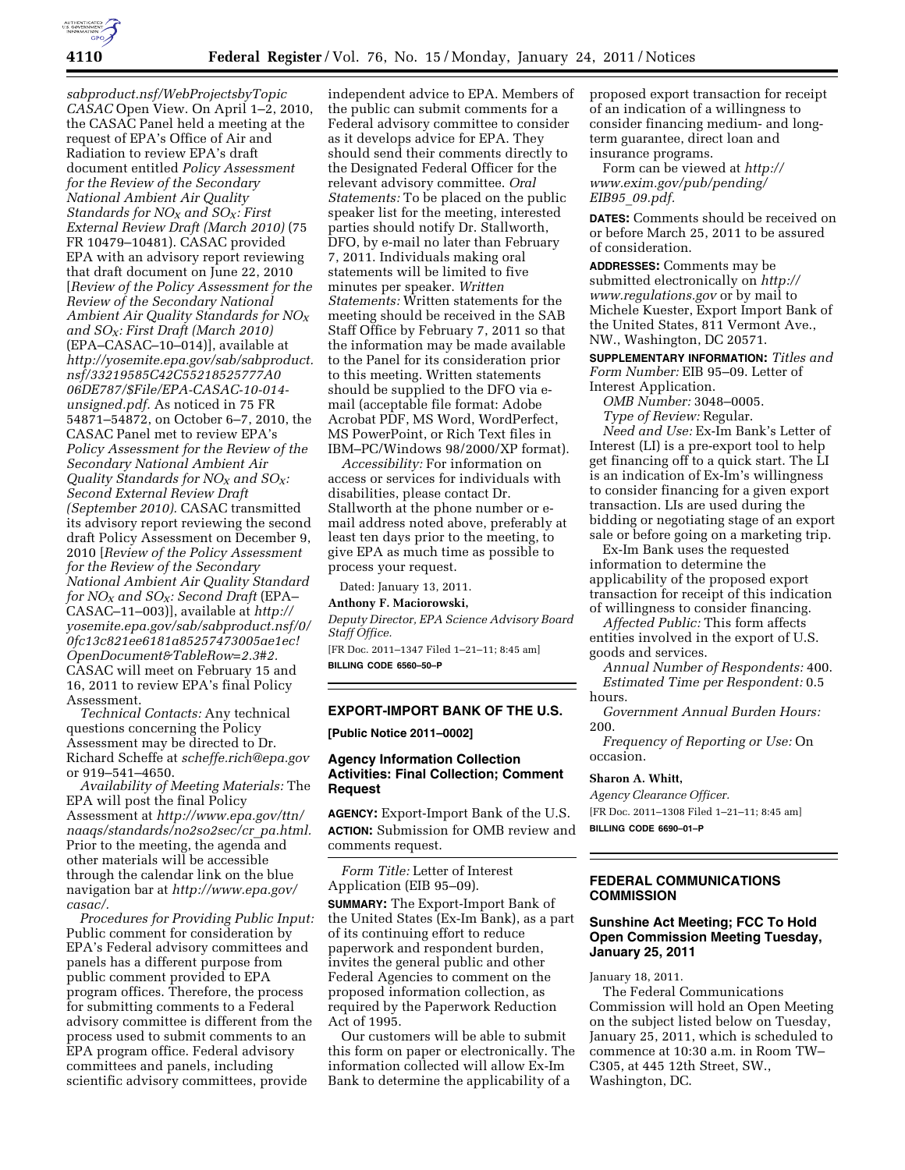

*sabproduct.nsf/WebProjectsbyTopic CASAC* Open View. On April 1–2, 2010, the CASAC Panel held a meeting at the request of EPA's Office of Air and Radiation to review EPA's draft document entitled *Policy Assessment for the Review of the Secondary National Ambient Air Quality Standards for NOX and SOX: First External Review Draft (March 2010)* (75 FR 10479–10481). CASAC provided EPA with an advisory report reviewing that draft document on June 22, 2010 [*Review of the Policy Assessment for the Review of the Secondary National Ambient Air Quality Standards for NOX and SOX: First Draft (March 2010)*  (EPA–CASAC–10–014)], available at *[http://yosemite.epa.gov/sab/sabproduct.](http://yosemite.epa.gov/sab/sabproduct.nsf/33219585C42C55218525777A006DE787/$File/EPA-CASAC-10-014-unsigned.pdf) [nsf/33219585C42C55218525777A0](http://yosemite.epa.gov/sab/sabproduct.nsf/33219585C42C55218525777A006DE787/$File/EPA-CASAC-10-014-unsigned.pdf) [06DE787/\\$File/EPA-CASAC-10-014](http://yosemite.epa.gov/sab/sabproduct.nsf/33219585C42C55218525777A006DE787/$File/EPA-CASAC-10-014-unsigned.pdf)  [unsigned.pdf.](http://yosemite.epa.gov/sab/sabproduct.nsf/33219585C42C55218525777A006DE787/$File/EPA-CASAC-10-014-unsigned.pdf)* As noticed in 75 FR 54871–54872, on October 6–7, 2010, the CASAC Panel met to review EPA's *Policy Assessment for the Review of the Secondary National Ambient Air Quality Standards for NOX and SOX: Second External Review Draft (September 2010).* CASAC transmitted its advisory report reviewing the second draft Policy Assessment on December 9, 2010 [*Review of the Policy Assessment for the Review of the Secondary National Ambient Air Quality Standard for NOX and SOX: Second Draft* (EPA– CASAC–11–003)], available at *[http://](http://yosemite.epa.gov/sab/sabproduct.nsf/0/0fc13c821ee6181a85257473005ae1ec!OpenDocument&TableRow=2.3#2) [yosemite.epa.gov/sab/sabproduct.nsf/0/](http://yosemite.epa.gov/sab/sabproduct.nsf/0/0fc13c821ee6181a85257473005ae1ec!OpenDocument&TableRow=2.3#2) [0fc13c821ee6181a85257473005ae1ec!](http://yosemite.epa.gov/sab/sabproduct.nsf/0/0fc13c821ee6181a85257473005ae1ec!OpenDocument&TableRow=2.3#2) [OpenDocument&TableRow=2.3#2.](http://yosemite.epa.gov/sab/sabproduct.nsf/0/0fc13c821ee6181a85257473005ae1ec!OpenDocument&TableRow=2.3#2)*  CASAC will meet on February 15 and 16, 2011 to review EPA's final Policy Assessment.

*Technical Contacts:* Any technical questions concerning the Policy Assessment may be directed to Dr. Richard Scheffe at *[scheffe.rich@epa.gov](mailto:scheffe.rich@epa.gov)*  or 919–541–4650.

*Availability of Meeting Materials:* The EPA will post the final Policy Assessment at *[http://www.epa.gov/ttn/](http://www.epa.gov/ttn/naaqs/standards/no2so2sec/cr_pa.html) [naaqs/standards/no2so2sec/cr](http://www.epa.gov/ttn/naaqs/standards/no2so2sec/cr_pa.html)*\_*pa.html.*  Prior to the meeting, the agenda and other materials will be accessible through the calendar link on the blue navigation bar at *[http://www.epa.gov/](http://www.epa.gov/casac/) [casac/.](http://www.epa.gov/casac/)* 

*Procedures for Providing Public Input:*  Public comment for consideration by EPA's Federal advisory committees and panels has a different purpose from public comment provided to EPA program offices. Therefore, the process for submitting comments to a Federal advisory committee is different from the process used to submit comments to an EPA program office. Federal advisory committees and panels, including scientific advisory committees, provide

independent advice to EPA. Members of the public can submit comments for a Federal advisory committee to consider as it develops advice for EPA. They should send their comments directly to the Designated Federal Officer for the relevant advisory committee. *Oral Statements:* To be placed on the public speaker list for the meeting, interested parties should notify Dr. Stallworth, DFO, by e-mail no later than February 7, 2011. Individuals making oral statements will be limited to five minutes per speaker. *Written Statements:* Written statements for the meeting should be received in the SAB Staff Office by February 7, 2011 so that the information may be made available to the Panel for its consideration prior to this meeting. Written statements should be supplied to the DFO via email (acceptable file format: Adobe Acrobat PDF, MS Word, WordPerfect, MS PowerPoint, or Rich Text files in IBM–PC/Windows 98/2000/XP format).

*Accessibility:* For information on access or services for individuals with disabilities, please contact Dr. Stallworth at the phone number or email address noted above, preferably at least ten days prior to the meeting, to give EPA as much time as possible to process your request.

Dated: January 13, 2011.

# **Anthony F. Maciorowski,**

*Deputy Director, EPA Science Advisory Board Staff Office.* 

[FR Doc. 2011–1347 Filed 1–21–11; 8:45 am] **BILLING CODE 6560–50–P** 

#### **EXPORT-IMPORT BANK OF THE U.S.**

**[Public Notice 2011–0002]** 

## **Agency Information Collection Activities: Final Collection; Comment Request**

**AGENCY:** Export-Import Bank of the U.S. **ACTION:** Submission for OMB review and comments request.

*Form Title:* Letter of Interest Application (EIB 95–09).

**SUMMARY:** The Export-Import Bank of the United States (Ex-Im Bank), as a part of its continuing effort to reduce paperwork and respondent burden, invites the general public and other Federal Agencies to comment on the proposed information collection, as required by the Paperwork Reduction Act of 1995.

Our customers will be able to submit this form on paper or electronically. The information collected will allow Ex-Im Bank to determine the applicability of a

proposed export transaction for receipt of an indication of a willingness to consider financing medium- and longterm guarantee, direct loan and insurance programs.

Form can be viewed at *[http://](http://www.exim.gov/pub/pending/EIB95_09.pdf) [www.exim.gov/pub/pending/](http://www.exim.gov/pub/pending/EIB95_09.pdf) EIB95*\_*[09.pdf.](http://www.exim.gov/pub/pending/EIB95_09.pdf)* 

**DATES:** Comments should be received on or before March 25, 2011 to be assured of consideration.

**ADDRESSES:** Comments may be submitted electronically on *[http://](http://www.regulations.gov) [www.regulations.gov](http://www.regulations.gov)* or by mail to Michele Kuester, Export Import Bank of the United States, 811 Vermont Ave., NW., Washington, DC 20571.

**SUPPLEMENTARY INFORMATION:** *Titles and Form Number:* EIB 95–09. Letter of Interest Application.

*OMB Number:* 3048–0005. *Type of Review:* Regular.

*Need and Use:* Ex-Im Bank's Letter of Interest (LI) is a pre-export tool to help get financing off to a quick start. The LI is an indication of Ex-Im's willingness to consider financing for a given export transaction. LIs are used during the bidding or negotiating stage of an export sale or before going on a marketing trip.

Ex-Im Bank uses the requested information to determine the applicability of the proposed export transaction for receipt of this indication of willingness to consider financing.

*Affected Public:* This form affects entities involved in the export of U.S. goods and services.

*Annual Number of Respondents:* 400. *Estimated Time per Respondent:* 0.5 hours.

*Government Annual Burden Hours:*  200.

*Frequency of Reporting or Use:* On occasion.

#### **Sharon A. Whitt,**

*Agency Clearance Officer.*  [FR Doc. 2011–1308 Filed 1–21–11; 8:45 am] **BILLING CODE 6690–01–P** 

#### **FEDERAL COMMUNICATIONS COMMISSION**

## **Sunshine Act Meeting; FCC To Hold Open Commission Meeting Tuesday, January 25, 2011**

January 18, 2011.

The Federal Communications Commission will hold an Open Meeting on the subject listed below on Tuesday, January 25, 2011, which is scheduled to commence at 10:30 a.m. in Room TW– C305, at 445 12th Street, SW., Washington, DC.